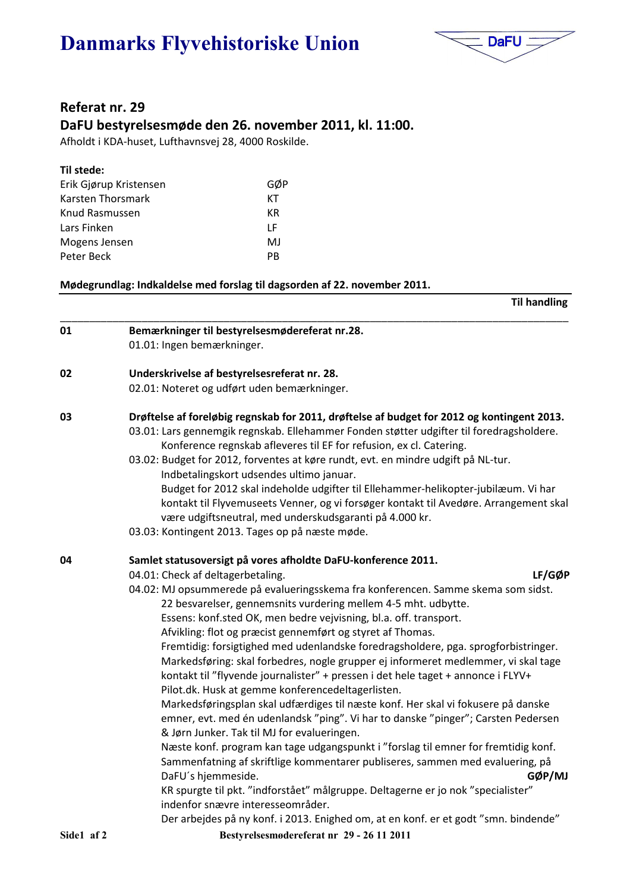## Danmarks Flyvehistoriske Union



## Referat nr. 29

## DaFU bestyrelsesmøde den 26. november 2011, kl. 11:00.

Afholdt i KDA-huset, Lufthavnsvej 28, 4000 Roskilde.

| Til stede:             |     |
|------------------------|-----|
| Erik Gjørup Kristensen | GØP |
| Karsten Thorsmark      | КT  |
| Knud Rasmussen         | КR  |
| Lars Finken            | ΙF  |
| Mogens Jensen          | M.I |
| Peter Beck             | РR  |

Mødegrundlag: Indkaldelse med forslag til dagsorden af 22. november 2011.

**Til handling** 

| 01         | Bemærkninger til bestyrelsesmødereferat nr.28.<br>01.01: Ingen bemærkninger.                                                                                                                                                                                                                                                                                                                                                                                                                                                                                                                                                                                                                                                                                                                                                                                                                                                                                                                                                                                                                                                                                                                                                                                                         |
|------------|--------------------------------------------------------------------------------------------------------------------------------------------------------------------------------------------------------------------------------------------------------------------------------------------------------------------------------------------------------------------------------------------------------------------------------------------------------------------------------------------------------------------------------------------------------------------------------------------------------------------------------------------------------------------------------------------------------------------------------------------------------------------------------------------------------------------------------------------------------------------------------------------------------------------------------------------------------------------------------------------------------------------------------------------------------------------------------------------------------------------------------------------------------------------------------------------------------------------------------------------------------------------------------------|
| 02         | Underskrivelse af bestyrelsesreferat nr. 28.<br>02.01: Noteret og udført uden bemærkninger.                                                                                                                                                                                                                                                                                                                                                                                                                                                                                                                                                                                                                                                                                                                                                                                                                                                                                                                                                                                                                                                                                                                                                                                          |
| 03         | Drøftelse af foreløbig regnskab for 2011, drøftelse af budget for 2012 og kontingent 2013.<br>03.01: Lars gennemgik regnskab. Ellehammer Fonden støtter udgifter til foredragsholdere.<br>Konference regnskab afleveres til EF for refusion, ex cl. Catering.<br>03.02: Budget for 2012, forventes at køre rundt, evt. en mindre udgift på NL-tur.<br>Indbetalingskort udsendes ultimo januar.<br>Budget for 2012 skal indeholde udgifter til Ellehammer-helikopter-jubilæum. Vi har<br>kontakt til Flyvemuseets Venner, og vi forsøger kontakt til Avedøre. Arrangement skal<br>være udgiftsneutral, med underskudsgaranti på 4.000 kr.<br>03.03: Kontingent 2013. Tages op på næste møde.                                                                                                                                                                                                                                                                                                                                                                                                                                                                                                                                                                                          |
|            |                                                                                                                                                                                                                                                                                                                                                                                                                                                                                                                                                                                                                                                                                                                                                                                                                                                                                                                                                                                                                                                                                                                                                                                                                                                                                      |
| 04         | Samlet statusoversigt på vores afholdte DaFU-konference 2011.<br>LF/GØP<br>04.01: Check af deltagerbetaling.<br>04.02: MJ opsummerede på evalueringsskema fra konferencen. Samme skema som sidst.<br>22 besvarelser, gennemsnits vurdering mellem 4-5 mht. udbytte.<br>Essens: konf.sted OK, men bedre vejvisning, bl.a. off. transport.<br>Afvikling: flot og præcist gennemført og styret af Thomas.<br>Fremtidig: forsigtighed med udenlandske foredragsholdere, pga. sprogforbistringer.<br>Markedsføring: skal forbedres, nogle grupper ej informeret medlemmer, vi skal tage<br>kontakt til "flyvende journalister" + pressen i det hele taget + annonce i FLYV+<br>Pilot.dk. Husk at gemme konferencedeltagerlisten.<br>Markedsføringsplan skal udfærdiges til næste konf. Her skal vi fokusere på danske<br>emner, evt. med én udenlandsk "ping". Vi har to danske "pinger"; Carsten Pedersen<br>& Jørn Junker. Tak til MJ for evalueringen.<br>Næste konf. program kan tage udgangspunkt i "forslag til emner for fremtidig konf.<br>Sammenfatning af skriftlige kommentarer publiseres, sammen med evaluering, på<br>DaFU's hjemmeside.<br>GØP/MJ<br>KR spurgte til pkt. "indforstået" målgruppe. Deltagerne er jo nok "specialister"<br>indenfor snævre interesseområder. |
|            | Der arbejdes på ny konf. i 2013. Enighed om, at en konf. er et godt "smn. bindende"                                                                                                                                                                                                                                                                                                                                                                                                                                                                                                                                                                                                                                                                                                                                                                                                                                                                                                                                                                                                                                                                                                                                                                                                  |
| Side1 af 2 | Bestyrelsesmødereferat nr 29 - 26 11 2011                                                                                                                                                                                                                                                                                                                                                                                                                                                                                                                                                                                                                                                                                                                                                                                                                                                                                                                                                                                                                                                                                                                                                                                                                                            |